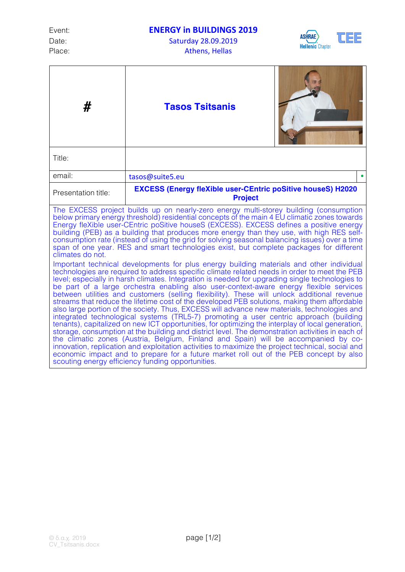Date: Saturday 28.09.2019 Place: The Contract of the Athens, Hellas

## Event: **ENERGY** in **BUILDINGS 2019**





| #                                                                                                                                                                                                                                                                                                                                                                                                                                                                                                                                                                                                                                                                                                                                                                                                                                                                                                                                                                                                                                                                                                                                                                                                                                                                                                                                                                                                                                                                                                                                                                                                                                                                                                                                                                                                                                                                                                                                   | <b>Tasos Tsitsanis</b>                                                               |  |
|-------------------------------------------------------------------------------------------------------------------------------------------------------------------------------------------------------------------------------------------------------------------------------------------------------------------------------------------------------------------------------------------------------------------------------------------------------------------------------------------------------------------------------------------------------------------------------------------------------------------------------------------------------------------------------------------------------------------------------------------------------------------------------------------------------------------------------------------------------------------------------------------------------------------------------------------------------------------------------------------------------------------------------------------------------------------------------------------------------------------------------------------------------------------------------------------------------------------------------------------------------------------------------------------------------------------------------------------------------------------------------------------------------------------------------------------------------------------------------------------------------------------------------------------------------------------------------------------------------------------------------------------------------------------------------------------------------------------------------------------------------------------------------------------------------------------------------------------------------------------------------------------------------------------------------------|--------------------------------------------------------------------------------------|--|
| Title:                                                                                                                                                                                                                                                                                                                                                                                                                                                                                                                                                                                                                                                                                                                                                                                                                                                                                                                                                                                                                                                                                                                                                                                                                                                                                                                                                                                                                                                                                                                                                                                                                                                                                                                                                                                                                                                                                                                              |                                                                                      |  |
| email:                                                                                                                                                                                                                                                                                                                                                                                                                                                                                                                                                                                                                                                                                                                                                                                                                                                                                                                                                                                                                                                                                                                                                                                                                                                                                                                                                                                                                                                                                                                                                                                                                                                                                                                                                                                                                                                                                                                              | tasos@suite5.eu                                                                      |  |
| Presentation title:                                                                                                                                                                                                                                                                                                                                                                                                                                                                                                                                                                                                                                                                                                                                                                                                                                                                                                                                                                                                                                                                                                                                                                                                                                                                                                                                                                                                                                                                                                                                                                                                                                                                                                                                                                                                                                                                                                                 | <b>EXCESS (Energy fleXible user-CEntric poSitive houseS) H2020</b><br><b>Project</b> |  |
| The EXCESS project builds up on nearly-zero energy multi-storey building (consumption<br>below primary energy threshold) residential concepts of the main 4 EU climatic zones towards<br>Energy fleXible user-CEntric poSitive houseS (EXCESS). EXCESS defines a positive energy<br>building (PEB) as a building that produces more energy than they use, with high RES self-<br>consumption rate (instead of using the grid for solving seasonal balancing issues) over a time<br>span of one year. RES and smart technologies exist, but complete packages for different<br>climates do not.<br>Important technical developments for plus energy building materials and other individual<br>technologies are required to address specific climate related needs in order to meet the PEB<br>level; especially in harsh climates. Integration is needed for upgrading single technologies to<br>be part of a large orchestra enabling also user-context-aware energy flexible services<br>between utilities and customers (selling flexibility). These will unlock additional revenue<br>streams that reduce the lifetime cost of the developed PEB solutions, making them affordable<br>also large portion of the society. Thus, EXCESS will advance new materials, technologies and<br>integrated technological systems (TRL5-7) promoting a user centric approach (building<br>tenants), capitalized on new ICT opportunities, for optimizing the interplay of local generation,<br>storage, consumption at the building and district level. The demonstration activities in each of<br>the climatic zones (Austria, Belgium, Finland and Spain) will be accompanied by co-<br>innovation, replication and exploitation activities to maximize the project technical, social and<br>economic impact and to prepare for a future market roll out of the PEB concept by also<br>scouting energy efficiency funding opportunities. |                                                                                      |  |